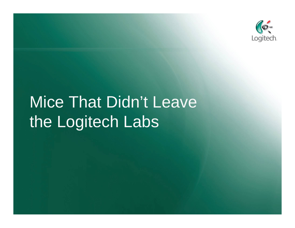

# Mice That Didn't Leave the Logitech Labs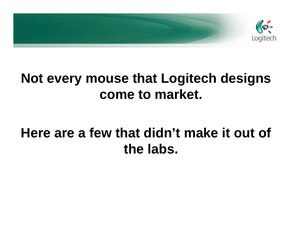

#### **Not every mouse that Logitech designs come to market.**

### **Here are a few that didn't make it out of the labs.**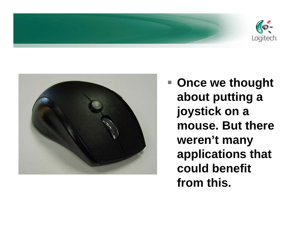



■ Once we thought **about putting a joystick on a mouse. But there weren't many applications that could benefit from this.**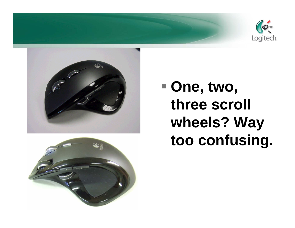





## **One, two, three scroll wheels? Way too confusing.**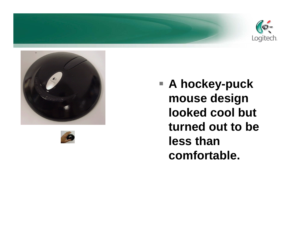



 **A hockey-puck mouse design looked cool but turned out to be less than comfortable.**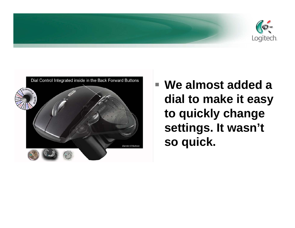



 **We almost added a dial to make it easy to quickly change settings. It wasn't so quick.**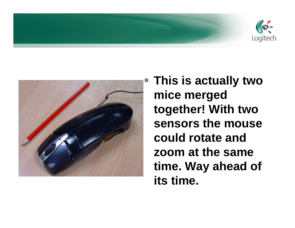



 **This is actually two mice merged together! With two sensors the mouse could rotate and zoom at the same time. Way ahead of its time.**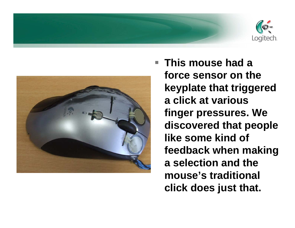



 **This mouse had a force sensor on the keyplate that triggered a click at various finger pressures. We discovered that people like some kind of feedback when making a selection and the mouse's traditional click does just that.**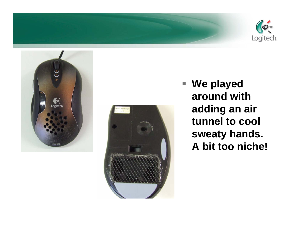





■ We played **around with adding an air tunnel to cool sweaty hands. A bit too niche!**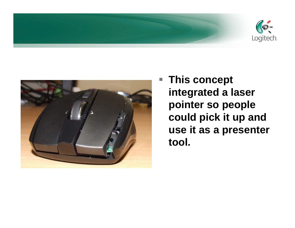



 **This concept integrated a laser pointer so people could pick it up and use it as a presenter tool.**